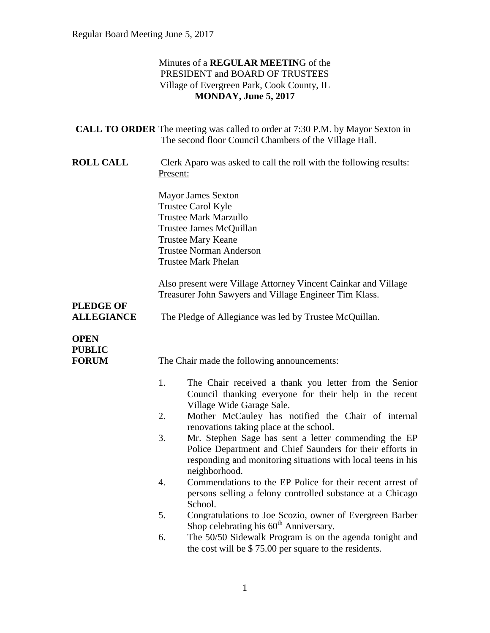#### Minutes of a **REGULAR MEETIN**G of the PRESIDENT and BOARD OF TRUSTEES Village of Evergreen Park, Cook County, IL **MONDAY, June 5, 2017**

|                                              | <b>CALL TO ORDER</b> The meeting was called to order at 7:30 P.M. by Mayor Sexton in<br>The second floor Council Chambers of the Village Hall.                                                          |                                                                                                                                                                                                    |
|----------------------------------------------|---------------------------------------------------------------------------------------------------------------------------------------------------------------------------------------------------------|----------------------------------------------------------------------------------------------------------------------------------------------------------------------------------------------------|
| <b>ROLL CALL</b>                             | Clerk Aparo was asked to call the roll with the following results:<br>Present:                                                                                                                          |                                                                                                                                                                                                    |
|                                              | <b>Mayor James Sexton</b><br>Trustee Carol Kyle<br><b>Trustee Mark Marzullo</b><br>Trustee James McQuillan<br><b>Trustee Mary Keane</b><br><b>Trustee Norman Anderson</b><br><b>Trustee Mark Phelan</b> |                                                                                                                                                                                                    |
|                                              |                                                                                                                                                                                                         | Also present were Village Attorney Vincent Cainkar and Village<br>Treasurer John Sawyers and Village Engineer Tim Klass.                                                                           |
| <b>PLEDGE OF</b><br><b>ALLEGIANCE</b>        | The Pledge of Allegiance was led by Trustee McQuillan.                                                                                                                                                  |                                                                                                                                                                                                    |
| <b>OPEN</b><br><b>PUBLIC</b><br><b>FORUM</b> |                                                                                                                                                                                                         | The Chair made the following announcements:                                                                                                                                                        |
|                                              | 1.                                                                                                                                                                                                      | The Chair received a thank you letter from the Senior<br>Council thanking everyone for their help in the recent<br>Village Wide Garage Sale.                                                       |
|                                              | 2.                                                                                                                                                                                                      | Mother McCauley has notified the Chair of internal<br>renovations taking place at the school.                                                                                                      |
|                                              | 3.                                                                                                                                                                                                      | Mr. Stephen Sage has sent a letter commending the EP<br>Police Department and Chief Saunders for their efforts in<br>responding and monitoring situations with local teens in his<br>neighborhood. |
|                                              | 4.                                                                                                                                                                                                      | Commendations to the EP Police for their recent arrest of<br>persons selling a felony controlled substance at a Chicago<br>School.                                                                 |
|                                              | 5.                                                                                                                                                                                                      | Congratulations to Joe Scozio, owner of Evergreen Barber<br>Shop celebrating his 60 <sup>th</sup> Anniversary.                                                                                     |
|                                              | 6.                                                                                                                                                                                                      | The 50/50 Sidewalk Program is on the agenda tonight and<br>the cost will be \$75.00 per square to the residents.                                                                                   |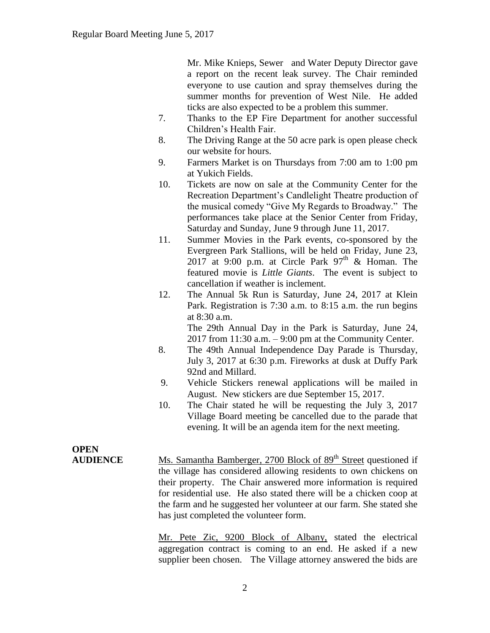Mr. Mike Knieps, Sewer and Water Deputy Director gave a report on the recent leak survey. The Chair reminded everyone to use caution and spray themselves during the summer months for prevention of West Nile. He added ticks are also expected to be a problem this summer.

- 7. Thanks to the EP Fire Department for another successful Children's Health Fair.
- 8. The Driving Range at the 50 acre park is open please check our website for hours.
- 9. Farmers Market is on Thursdays from 7:00 am to 1:00 pm at Yukich Fields.
- 10. Tickets are now on sale at the Community Center for the Recreation Department's Candlelight Theatre production of the musical comedy "Give My Regards to Broadway." The performances take place at the Senior Center from Friday, Saturday and Sunday, June 9 through June 11, 2017.
- 11. Summer Movies in the Park events, co-sponsored by the Evergreen Park Stallions, will be held on Friday, June 23, 2017 at 9:00 p.m. at Circle Park  $97<sup>th</sup>$  & Homan. The featured movie is *Little Giants*. The event is subject to cancellation if weather is inclement.
- 12. The Annual 5k Run is Saturday, June 24, 2017 at Klein Park. Registration is 7:30 a.m. to 8:15 a.m. the run begins at 8:30 a.m. The 29th Annual Day in the Park is Saturday, June 24,

2017 from  $11:30$  a.m.  $-9:00$  pm at the Community Center.

- 8. The 49th Annual Independence Day Parade is Thursday, July 3, 2017 at 6:30 p.m. Fireworks at dusk at Duffy Park 92nd and Millard.
- 9. Vehicle Stickers renewal applications will be mailed in August. New stickers are due September 15, 2017.
- 10. The Chair stated he will be requesting the July 3, 2017 Village Board meeting be cancelled due to the parade that evening. It will be an agenda item for the next meeting.

**OPEN** 

**AUDIENCE** Ms. Samantha Bamberger, 2700 Block of 89<sup>th</sup> Street questioned if the village has considered allowing residents to own chickens on their property. The Chair answered more information is required for residential use. He also stated there will be a chicken coop at the farm and he suggested her volunteer at our farm. She stated she has just completed the volunteer form.

> Mr. Pete Zic, 9200 Block of Albany, stated the electrical aggregation contract is coming to an end. He asked if a new supplier been chosen. The Village attorney answered the bids are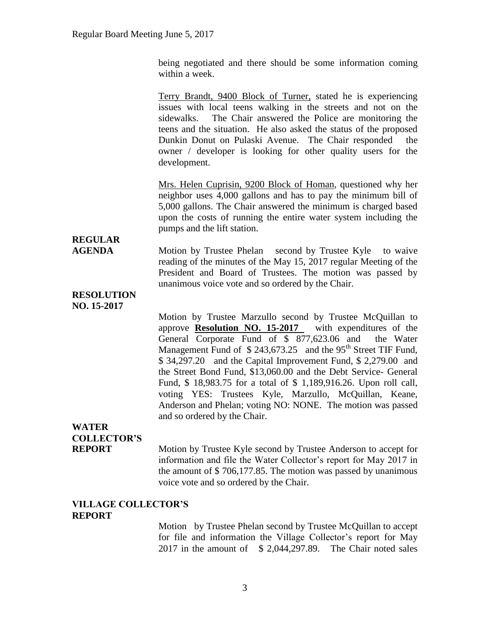being negotiated and there should be some information coming within a week.

Terry Brandt, 9400 Block of Turner, stated he is experiencing issues with local teens walking in the streets and not on the sidewalks. The Chair answered the Police are monitoring the teens and the situation. He also asked the status of the proposed Dunkin Donut on Pulaski Avenue. The Chair responded the owner / developer is looking for other quality users for the development.

Mrs. Helen Cuprisin, 9200 Block of Homan, questioned why her neighbor uses 4,000 gallons and has to pay the minimum bill of 5,000 gallons. The Chair answered the minimum is charged based upon the costs of running the entire water system including the pumps and the lift station.

# **REGULAR**

**AGENDA** Motion by Trustee Phelan second by Trustee Kyle to waive reading of the minutes of the May 15, 2017 regular Meeting of the President and Board of Trustees. The motion was passed by unanimous voice vote and so ordered by the Chair.

#### **RESOLUTION NO. 15-2017**

Motion by Trustee Marzullo second by Trustee McQuillan to approve **Resolution NO. 15-2017** with expenditures of the General Corporate Fund of \$ 877,623.06 and the Water Management Fund of  $$ 243,673.25$  and the 95<sup>th</sup> Street TIF Fund, \$ 34,297.20 and the Capital Improvement Fund, \$ 2,279.00 and the Street Bond Fund, \$13,060.00 and the Debt Service- General Fund, \$ 18,983.75 for a total of \$ 1,189,916.26. Upon roll call, voting YES: Trustees Kyle, Marzullo, McQuillan, Keane, Anderson and Phelan; voting NO: NONE. The motion was passed and so ordered by the Chair.

# **WATER COLLECTOR'S**

**REPORT** Motion by Trustee Kyle second by Trustee Anderson to accept for information and file the Water Collector's report for May 2017 in the amount of \$ 706,177.85. The motion was passed by unanimous voice vote and so ordered by the Chair.

#### **VILLAGE COLLECTOR'S REPORT**

Motion by Trustee Phelan second by Trustee McQuillan to accept for file and information the Village Collector's report for May 2017 in the amount of \$ 2,044,297.89. The Chair noted sales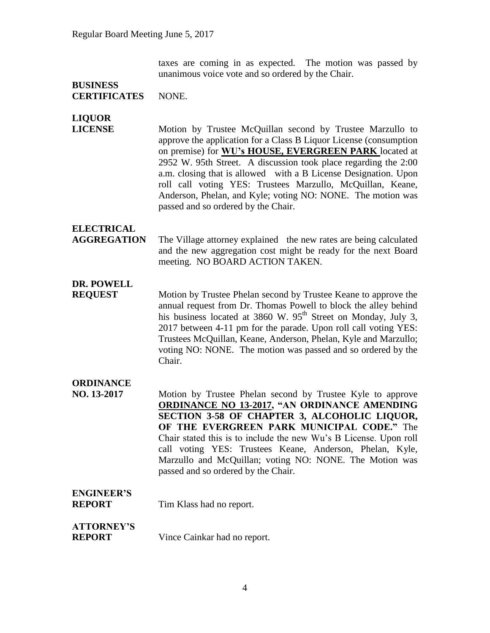taxes are coming in as expected. The motion was passed by unanimous voice vote and so ordered by the Chair.

#### **BUSINESS CERTIFICATES** NONE.

**LIQUOR** 

**LICENSE** Motion by Trustee McQuillan second by Trustee Marzullo to approve the application for a Class B Liquor License (consumption on premise) for **WU's HOUSE, EVERGREEN PARK** located at 2952 W. 95th Street. A discussion took place regarding the 2:00 a.m. closing that is allowed with a B License Designation. Upon roll call voting YES: Trustees Marzullo, McQuillan, Keane, Anderson, Phelan, and Kyle; voting NO: NONE. The motion was passed and so ordered by the Chair.

### **ELECTRICAL**

**AGGREGATION** The Village attorney explained the new rates are being calculated and the new aggregation cost might be ready for the next Board meeting. NO BOARD ACTION TAKEN.

## **DR. POWELL**

**REQUEST** Motion by Trustee Phelan second by Trustee Keane to approve the annual request from Dr. Thomas Powell to block the alley behind his business located at 3860 W.  $95<sup>th</sup>$  Street on Monday, July 3, 2017 between 4-11 pm for the parade. Upon roll call voting YES: Trustees McQuillan, Keane, Anderson, Phelan, Kyle and Marzullo; voting NO: NONE. The motion was passed and so ordered by the Chair.

### **ORDINANCE**

**NO. 13-2017** Motion by Trustee Phelan second by Trustee Kyle to approve **ORDINANCE NO 13-2017, "AN ORDINANCE AMENDING SECTION 3-58 OF CHAPTER 3, ALCOHOLIC LIQUOR, OF THE EVERGREEN PARK MUNICIPAL CODE."** The Chair stated this is to include the new Wu's B License. Upon roll call voting YES: Trustees Keane, Anderson, Phelan, Kyle, Marzullo and McQuillan; voting NO: NONE. The Motion was passed and so ordered by the Chair.

# **ENGINEER'S**

**REPORT** Tim Klass had no report.

## **ATTORNEY'S**

**REPORT** Vince Cainkar had no report.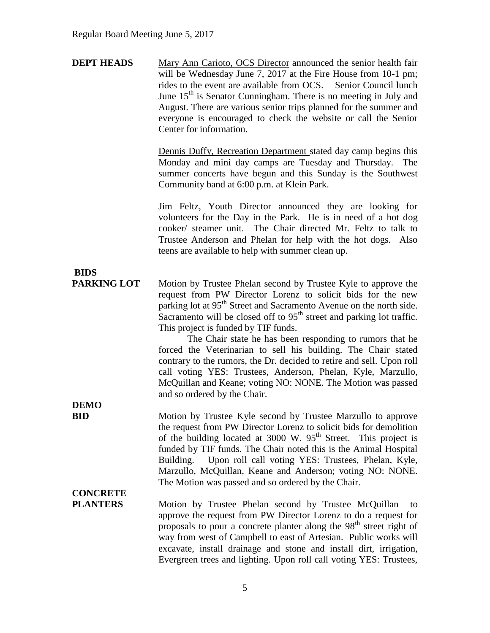| <b>DEPT HEADS</b> | Mary Ann Carioto, OCS Director announced the senior health fair    |
|-------------------|--------------------------------------------------------------------|
|                   | will be Wednesday June 7, 2017 at the Fire House from 10-1 pm;     |
|                   | rides to the event are available from OCS. Senior Council lunch    |
|                   | June $15th$ is Senator Cunningham. There is no meeting in July and |
|                   | August. There are various senior trips planned for the summer and  |
|                   | everyone is encouraged to check the website or call the Senior     |
|                   | Center for information.                                            |

Dennis Duffy, Recreation Department stated day camp begins this Monday and mini day camps are Tuesday and Thursday. The summer concerts have begun and this Sunday is the Southwest Community band at 6:00 p.m. at Klein Park.

Jim Feltz, Youth Director announced they are looking for volunteers for the Day in the Park. He is in need of a hot dog cooker/ steamer unit. The Chair directed Mr. Feltz to talk to Trustee Anderson and Phelan for help with the hot dogs. Also teens are available to help with summer clean up.

# **BIDS**

**PARKING LOT** Motion by Trustee Phelan second by Trustee Kyle to approve the request from PW Director Lorenz to solicit bids for the new parking lot at 95<sup>th</sup> Street and Sacramento Avenue on the north side. Sacramento will be closed off to  $95<sup>th</sup>$  street and parking lot traffic. This project is funded by TIF funds.

> The Chair state he has been responding to rumors that he forced the Veterinarian to sell his building. The Chair stated contrary to the rumors, the Dr. decided to retire and sell. Upon roll call voting YES: Trustees, Anderson, Phelan, Kyle, Marzullo, McQuillan and Keane; voting NO: NONE. The Motion was passed and so ordered by the Chair.

**DEMO** 

**BID** Motion by Trustee Kyle second by Trustee Marzullo to approve the request from PW Director Lorenz to solicit bids for demolition of the building located at 3000 W.  $95<sup>th</sup>$  Street. This project is funded by TIF funds. The Chair noted this is the Animal Hospital Building. Upon roll call voting YES: Trustees, Phelan, Kyle, Marzullo, McQuillan, Keane and Anderson; voting NO: NONE. The Motion was passed and so ordered by the Chair.

## **CONCRETE**

PLANTERS Motion by Trustee Phelan second by Trustee McQuillan to approve the request from PW Director Lorenz to do a request for proposals to pour a concrete planter along the 98<sup>th</sup> street right of way from west of Campbell to east of Artesian. Public works will excavate, install drainage and stone and install dirt, irrigation, Evergreen trees and lighting. Upon roll call voting YES: Trustees,